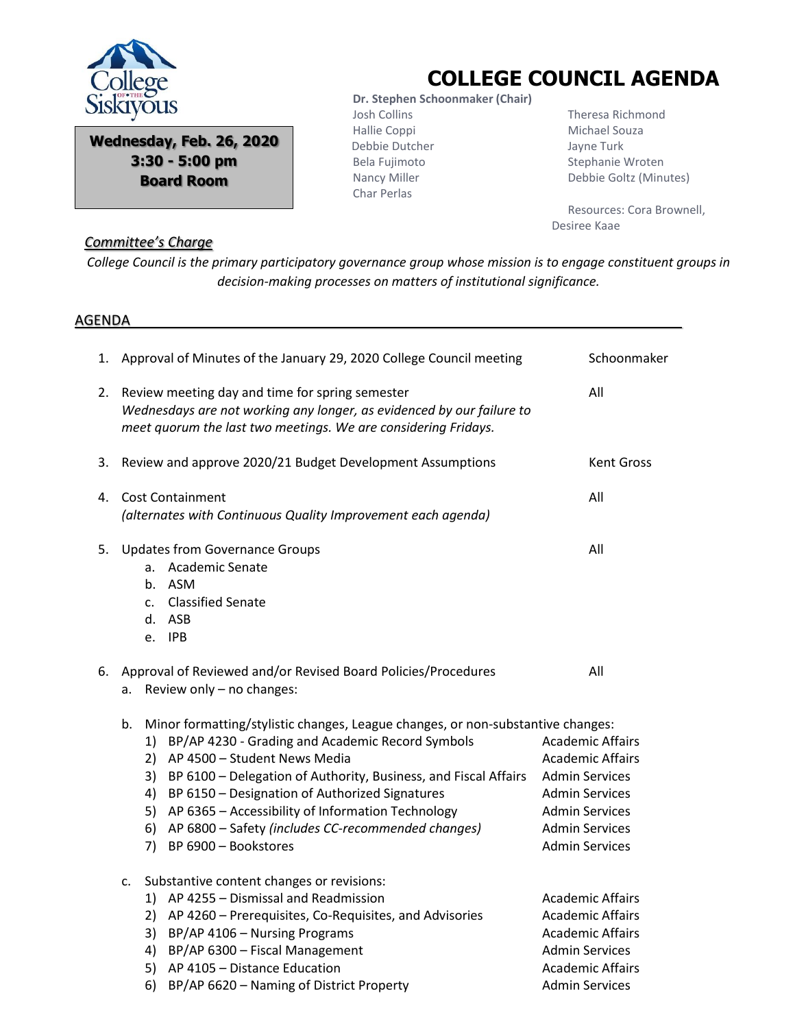

**Wednesday, Feb. 26, 2020 3:30 - 5:00 pm Board Room**

## **COLLEGE COUNCIL AGENDA**

 **Dr. Stephen Schoonmaker (Chair)** Josh Collins Hallie Coppi Debbie Dutcher Bela Fujimoto Nancy Miller Char Perlas

 Theresa Richmond Michael Souza Jayne Turk Stephanie Wroten Debbie Goltz (Minutes)

 Resources: Cora Brownell, Desiree Kaae

## *Committee's Charge*

*College Council is the primary participatory governance group whose mission is to engage constituent groups in decision-making processes on matters of institutional significance.*

## AGENDA

| 1. | Approval of Minutes of the January 29, 2020 College Council meeting                                                                                                                                                                                                                                                                                                                                                                                    | Schoonmaker                                                                                                                                                                     |
|----|--------------------------------------------------------------------------------------------------------------------------------------------------------------------------------------------------------------------------------------------------------------------------------------------------------------------------------------------------------------------------------------------------------------------------------------------------------|---------------------------------------------------------------------------------------------------------------------------------------------------------------------------------|
| 2. | Review meeting day and time for spring semester<br>Wednesdays are not working any longer, as evidenced by our failure to<br>meet quorum the last two meetings. We are considering Fridays.                                                                                                                                                                                                                                                             | All                                                                                                                                                                             |
| 3. | Review and approve 2020/21 Budget Development Assumptions                                                                                                                                                                                                                                                                                                                                                                                              | <b>Kent Gross</b>                                                                                                                                                               |
| 4. | <b>Cost Containment</b><br>(alternates with Continuous Quality Improvement each agenda)                                                                                                                                                                                                                                                                                                                                                                | All                                                                                                                                                                             |
| 5. | <b>Updates from Governance Groups</b><br>a. Academic Senate<br>b. ASM<br>c. Classified Senate<br>d. ASB<br>e. IPB                                                                                                                                                                                                                                                                                                                                      | All                                                                                                                                                                             |
|    | 6. Approval of Reviewed and/or Revised Board Policies/Procedures<br>Review only - no changes:<br>a.                                                                                                                                                                                                                                                                                                                                                    | All                                                                                                                                                                             |
|    | Minor formatting/stylistic changes, League changes, or non-substantive changes:<br>b.<br>1) BP/AP 4230 - Grading and Academic Record Symbols<br>2) AP 4500 - Student News Media<br>3) BP 6100 - Delegation of Authority, Business, and Fiscal Affairs<br>4) BP 6150 - Designation of Authorized Signatures<br>5) AP 6365 - Accessibility of Information Technology<br>6) AP 6800 - Safety (includes CC-recommended changes)<br>7) BP 6900 - Bookstores | <b>Academic Affairs</b><br><b>Academic Affairs</b><br><b>Admin Services</b><br><b>Admin Services</b><br><b>Admin Services</b><br><b>Admin Services</b><br><b>Admin Services</b> |
|    | Substantive content changes or revisions:<br>c.<br>1) AP 4255 - Dismissal and Readmission<br>2) AP 4260 - Prerequisites, Co-Requisites, and Advisories<br>3) BP/AP 4106 - Nursing Programs<br>4) BP/AP 6300 - Fiscal Management<br>5) AP 4105 - Distance Education<br>BP/AP 6620 - Naming of District Property<br>6)                                                                                                                                   | <b>Academic Affairs</b><br><b>Academic Affairs</b><br><b>Academic Affairs</b><br><b>Admin Services</b><br><b>Academic Affairs</b><br><b>Admin Services</b>                      |